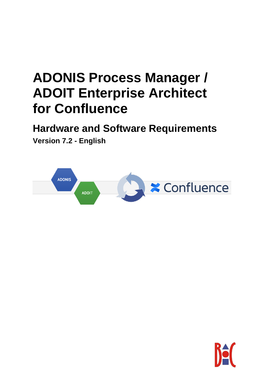# **ADONIS Process Manager / ADOIT Enterprise Architect for Confluence**

**Hardware and Software Requirements**

**Version 7.2 - English**



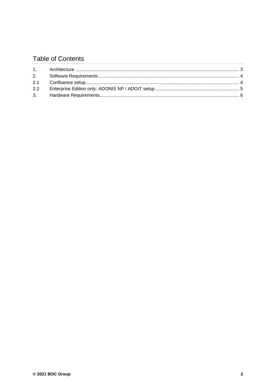## **Table of Contents**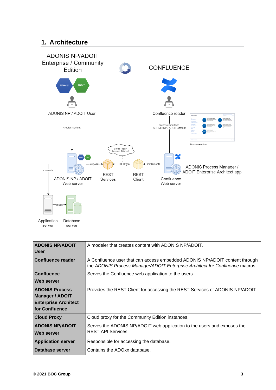#### **1. Architecture**



| <b>ADONIS NP/ADOIT</b>      | A modeler that creates content with ADONIS NP/ADOIT.                                                                                                       |
|-----------------------------|------------------------------------------------------------------------------------------------------------------------------------------------------------|
| <b>User</b>                 |                                                                                                                                                            |
| <b>Confluence reader</b>    | A Confluence user that can access embedded ADONIS NP/ADOIT content through<br>the ADONIS Process Manager/ADOIT Enterprise Architect for Confluence macros. |
| <b>Confluence</b>           | Serves the Confluence web application to the users.                                                                                                        |
| Web server                  |                                                                                                                                                            |
| <b>ADONIS Process</b>       | Provides the REST Client for accessing the REST Services of ADONIS NP/ADOIT                                                                                |
| <b>Manager / ADOIT</b>      |                                                                                                                                                            |
| <b>Enterprise Architect</b> |                                                                                                                                                            |
| for Confluence              |                                                                                                                                                            |
| <b>Cloud Proxy</b>          | Cloud proxy for the Community Edition instances.                                                                                                           |
| <b>ADONIS NP/ADOIT</b>      | Serves the ADONIS NP/ADOIT web application to the users and exposes the                                                                                    |
| Web server                  | <b>REST API Services.</b>                                                                                                                                  |
| <b>Application server</b>   | Responsible for accessing the database.                                                                                                                    |
| Database server             | Contains the ADOxx database.                                                                                                                               |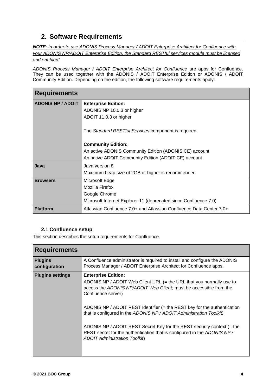## **2. Software Requirements**

*NOTE: In order to use ADONIS Process Manager / ADOIT Enterprise Architect for Confluence with your ADONIS NP/ADOIT Enterprise Edition, the Standard RESTful services module must be licensed and enabled!*

*ADONIS Process Manager / ADOIT Enterprise Architect for Confluence* are apps for Confluence. They can be used together with the ADONIS / ADOIT Enterprise Edition or ADONIS / ADOIT Community Edition. Depending on the edition, the following software requirements apply:

| Requirements             |                                                                     |  |
|--------------------------|---------------------------------------------------------------------|--|
| <b>ADONIS NP / ADOIT</b> | <b>Enterprise Edition:</b>                                          |  |
|                          | ADONIS NP 10.0.3 or higher                                          |  |
|                          | ADOIT 11.0.3 or higher                                              |  |
|                          | The Standard RESTful Services component is required                 |  |
|                          | <b>Community Edition:</b>                                           |  |
|                          | An active ADONIS Community Edition (ADONIS:CE) account              |  |
|                          | An active ADOIT Community Edition (ADOIT:CE) account                |  |
| <b>Java</b>              | Java version 8                                                      |  |
|                          | Maximum heap size of 2GB or higher is recommended                   |  |
| <b>Browsers</b>          | Microsoft Edge                                                      |  |
|                          | Mozilla Firefox                                                     |  |
|                          | Google Chrome                                                       |  |
|                          | Microsoft Internet Explorer 11 (deprecated since Confluence 7.0)    |  |
| <b>Platform</b>          | Atlassian Confluence 7.0+ and Atlassian Confluence Data Center 7.0+ |  |

#### **2.1 Confluence setup**

This section describes the setup requirements for Confluence.

| <b>Requirements</b>             |                                                                                                                                                                                                                                                                                                                                                                                                                                                                                                                                                |  |
|---------------------------------|------------------------------------------------------------------------------------------------------------------------------------------------------------------------------------------------------------------------------------------------------------------------------------------------------------------------------------------------------------------------------------------------------------------------------------------------------------------------------------------------------------------------------------------------|--|
| <b>Plugins</b><br>configuration | A Confluence administrator is required to install and configure the ADONIS<br>Process Manager / ADOIT Enterprise Architect for Confluence apps.                                                                                                                                                                                                                                                                                                                                                                                                |  |
| <b>Plugins settings</b>         | <b>Enterprise Edition:</b><br>ADONIS NP / ADOIT Web Client URL (= the URL that you normally use to<br>access the ADONIS NP/ADOIT Web Client; must be accessible from the<br>Confluence server)<br>ADONIS NP / ADOIT REST Identifier (= the REST key for the authentication<br>that is configured in the ADONIS NP / ADOIT Administration Toolkit)<br>ADONIS NP / ADOIT REST Secret Key for the REST security context (= the<br>REST secret for the authentication that is configured in the ADONIS NP/<br><b>ADOIT Administration Toolkit)</b> |  |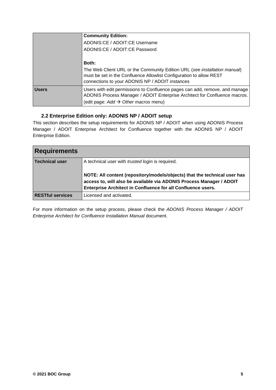|              | <b>Community Edition:</b>                                                                                                                                                                           |
|--------------|-----------------------------------------------------------------------------------------------------------------------------------------------------------------------------------------------------|
|              | ADONIS:CE / ADOIT:CE Username                                                                                                                                                                       |
|              | ADONIS:CE / ADOIT:CE Password                                                                                                                                                                       |
|              |                                                                                                                                                                                                     |
|              | <b>Both:</b>                                                                                                                                                                                        |
|              | The Web Client URL or the Community Edition URL (see installation manual)<br>must be set in the Confluence Allowlist Configuration to allow REST<br>connections to your ADONIS NP / ADOIT instances |
| <b>Users</b> | Users with edit permissions to Confluence pages can add, remove, and manage<br>ADONIS Process Manager / ADOIT Enterprise Architect for Confluence macros.                                           |
|              | (edit page: $Add \rightarrow Other$ macros menu)                                                                                                                                                    |

#### **2.2 Enterprise Edition only: ADONIS NP / ADOIT setup**

This section describes the setup requirements for ADONIS NP / ADOIT when using ADONIS Process Manager / ADOIT Enterprise Architect for Confluence together with the ADONIS NP / ADOIT Enterprise Edition.

| <b>Requirements</b>     |                                                                                                                                                                                                                                                                              |  |
|-------------------------|------------------------------------------------------------------------------------------------------------------------------------------------------------------------------------------------------------------------------------------------------------------------------|--|
| <b>Technical user</b>   | A technical user with <i>trusted login</i> is required.<br>NOTE: All content (repository/models/objects) that the technical user has<br>access to, will also be available via ADONIS Process Manager / ADOIT<br>Enterprise Architect in Confluence for all Confluence users. |  |
| <b>RESTful services</b> | Licensed and activated.                                                                                                                                                                                                                                                      |  |

For more information on the setup process, please check the *ADONIS Process Manager / ADOIT Enterprise Architect for Confluence Installation Manual* document.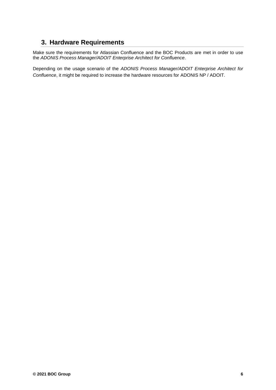## **3. Hardware Requirements**

Make sure the requirements for Atlassian Confluence and the BOC Products are met in order to use the *ADONIS Process Manager/ADOIT Enterprise Architect for Confluence*.

Depending on the usage scenario of the *ADONIS Process Manager/ADOIT Enterprise Architect for Confluence*, it might be required to increase the hardware resources for ADONIS NP / ADOIT.